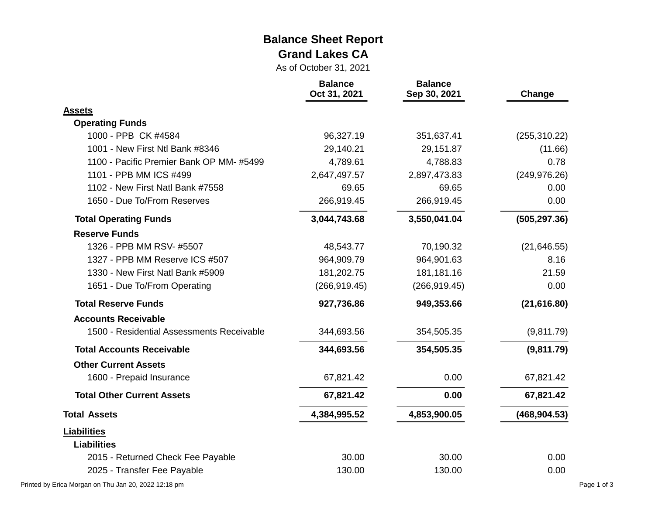#### **Balance Sheet Report Grand Lakes CA**

As of October 31, 2021

|                                           | <b>Balance</b><br>Oct 31, 2021 | <b>Balance</b><br>Sep 30, 2021 | Change        |
|-------------------------------------------|--------------------------------|--------------------------------|---------------|
| <b>Assets</b>                             |                                |                                |               |
| <b>Operating Funds</b>                    |                                |                                |               |
| 1000 - PPB CK #4584                       | 96,327.19                      | 351,637.41                     | (255, 310.22) |
| 1001 - New First Ntl Bank #8346           | 29,140.21                      | 29,151.87                      | (11.66)       |
| 1100 - Pacific Premier Bank OP MM-#5499   | 4,789.61                       | 4,788.83                       | 0.78          |
| 1101 - PPB MM ICS #499                    | 2,647,497.57                   | 2,897,473.83                   | (249, 976.26) |
| 1102 - New First Natl Bank #7558          | 69.65                          | 69.65                          | 0.00          |
| 1650 - Due To/From Reserves               | 266,919.45                     | 266,919.45                     | 0.00          |
| <b>Total Operating Funds</b>              | 3,044,743.68                   | 3,550,041.04                   | (505, 297.36) |
| <b>Reserve Funds</b>                      |                                |                                |               |
| 1326 - PPB MM RSV- #5507                  | 48,543.77                      | 70,190.32                      | (21, 646.55)  |
| 1327 - PPB MM Reserve ICS #507            | 964,909.79                     | 964,901.63                     | 8.16          |
| 1330 - New First Natl Bank #5909          | 181,202.75                     | 181,181.16                     | 21.59         |
| 1651 - Due To/From Operating              | (266, 919.45)                  | (266, 919.45)                  | 0.00          |
| <b>Total Reserve Funds</b>                | 927,736.86                     | 949,353.66                     | (21, 616.80)  |
| <b>Accounts Receivable</b>                |                                |                                |               |
| 1500 - Residential Assessments Receivable | 344,693.56                     | 354,505.35                     | (9,811.79)    |
| <b>Total Accounts Receivable</b>          | 344,693.56                     | 354,505.35                     | (9,811.79)    |
| <b>Other Current Assets</b>               |                                |                                |               |
| 1600 - Prepaid Insurance                  | 67,821.42                      | 0.00                           | 67,821.42     |
| <b>Total Other Current Assets</b>         | 67,821.42                      | 0.00                           | 67,821.42     |
| <b>Total Assets</b>                       | 4,384,995.52                   | 4,853,900.05                   | (468, 904.53) |
| <b>Liabilities</b>                        |                                |                                |               |
| <b>Liabilities</b>                        |                                |                                |               |
| 2015 - Returned Check Fee Payable         | 30.00                          | 30.00                          | 0.00          |
| 2025 - Transfer Fee Payable               | 130.00                         | 130.00                         | 0.00          |

Printed by Erica Morgan on Thu Jan 20, 2022 12:18 pm Page 1 of 3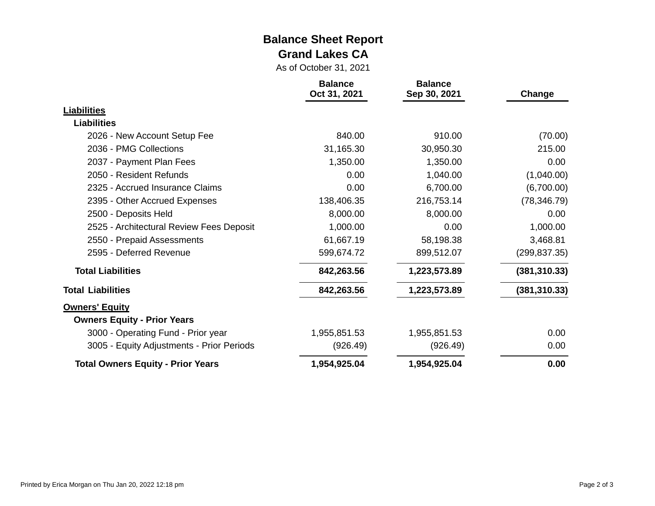#### **Balance Sheet Report Grand Lakes CA**

As of October 31, 2021

|                                           | <b>Balance</b><br>Oct 31, 2021 | <b>Balance</b><br>Sep 30, 2021 | Change        |
|-------------------------------------------|--------------------------------|--------------------------------|---------------|
| Liabilities                               |                                |                                |               |
| <b>Liabilities</b>                        |                                |                                |               |
| 2026 - New Account Setup Fee              | 840.00                         | 910.00                         | (70.00)       |
| 2036 - PMG Collections                    | 31,165.30                      | 30,950.30                      | 215.00        |
| 2037 - Payment Plan Fees                  | 1,350.00                       | 1,350.00                       | 0.00          |
| 2050 - Resident Refunds                   | 0.00                           | 1,040.00                       | (1,040.00)    |
| 2325 - Accrued Insurance Claims           | 0.00                           | 6,700.00                       | (6,700.00)    |
| 2395 - Other Accrued Expenses             | 138,406.35                     | 216,753.14                     | (78, 346.79)  |
| 2500 - Deposits Held                      | 8,000.00                       | 8,000.00                       | 0.00          |
| 2525 - Architectural Review Fees Deposit  | 1,000.00                       | 0.00                           | 1,000.00      |
| 2550 - Prepaid Assessments                | 61,667.19                      | 58,198.38                      | 3,468.81      |
| 2595 - Deferred Revenue                   | 599,674.72                     | 899,512.07                     | (299, 837.35) |
| <b>Total Liabilities</b>                  | 842,263.56                     | 1,223,573.89                   | (381, 310.33) |
| <b>Total Liabilities</b>                  | 842,263.56                     | 1,223,573.89                   | (381, 310.33) |
| <b>Owners' Equity</b>                     |                                |                                |               |
| <b>Owners Equity - Prior Years</b>        |                                |                                |               |
| 3000 - Operating Fund - Prior year        | 1,955,851.53                   | 1,955,851.53                   | 0.00          |
| 3005 - Equity Adjustments - Prior Periods | (926.49)                       | (926.49)                       | 0.00          |
| <b>Total Owners Equity - Prior Years</b>  | 1,954,925.04                   | 1,954,925.04                   | 0.00          |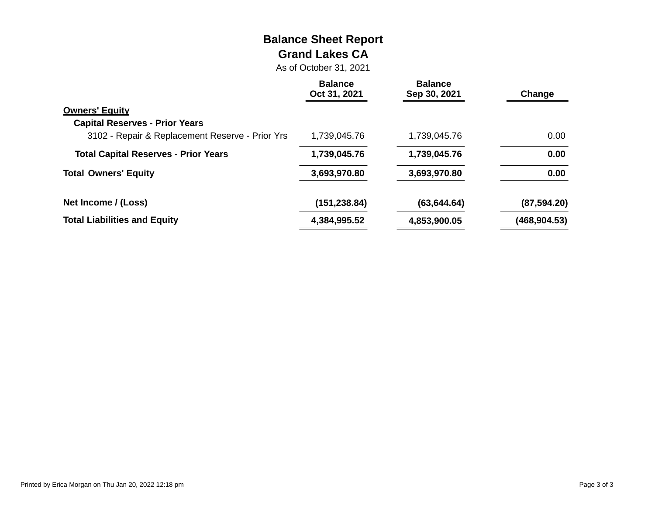# **Balance Sheet Report Grand Lakes CA**

As of October 31, 2021

|                                                 | <b>Balance</b><br>Oct 31, 2021 | <b>Balance</b><br>Sep 30, 2021 | Change        |
|-------------------------------------------------|--------------------------------|--------------------------------|---------------|
| <b>Owners' Equity</b>                           |                                |                                |               |
| <b>Capital Reserves - Prior Years</b>           |                                |                                |               |
| 3102 - Repair & Replacement Reserve - Prior Yrs | 1,739,045.76                   | 1,739,045.76                   | 0.00          |
| <b>Total Capital Reserves - Prior Years</b>     | 1,739,045.76                   | 1,739,045.76                   | 0.00          |
| <b>Total Owners' Equity</b>                     | 3,693,970.80                   | 3,693,970.80                   | 0.00          |
| Net Income / (Loss)                             | (151, 238.84)                  | (63, 644.64)                   | (87, 594.20)  |
| <b>Total Liabilities and Equity</b>             | 4,384,995.52                   | 4,853,900.05                   | (468, 904.53) |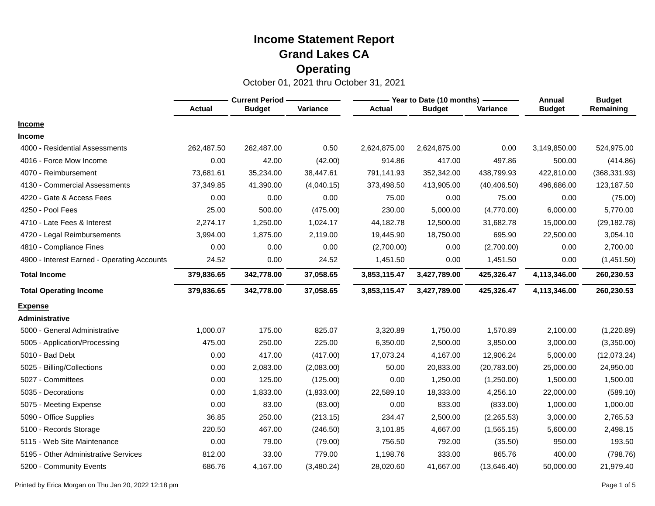|                                             |               | <b>Current Period -</b> |            |               | $-$ Year to Date (10 months) $\cdot$ | <b>Annual</b> | <b>Budget</b> |               |
|---------------------------------------------|---------------|-------------------------|------------|---------------|--------------------------------------|---------------|---------------|---------------|
|                                             | <b>Actual</b> | <b>Budget</b>           | Variance   | <b>Actual</b> | <b>Budget</b>                        | Variance      | <b>Budget</b> | Remaining     |
| <b>Income</b>                               |               |                         |            |               |                                      |               |               |               |
| <b>Income</b>                               |               |                         |            |               |                                      |               |               |               |
| 4000 - Residential Assessments              | 262,487.50    | 262,487.00              | 0.50       | 2,624,875.00  | 2,624,875.00                         | 0.00          | 3,149,850.00  | 524,975.00    |
| 4016 - Force Mow Income                     | 0.00          | 42.00                   | (42.00)    | 914.86        | 417.00                               | 497.86        | 500.00        | (414.86)      |
| 4070 - Reimbursement                        | 73,681.61     | 35,234.00               | 38,447.61  | 791,141.93    | 352,342.00                           | 438,799.93    | 422,810.00    | (368, 331.93) |
| 4130 - Commercial Assessments               | 37,349.85     | 41,390.00               | (4,040.15) | 373,498.50    | 413,905.00                           | (40, 406.50)  | 496,686.00    | 123,187.50    |
| 4220 - Gate & Access Fees                   | 0.00          | 0.00                    | 0.00       | 75.00         | 0.00                                 | 75.00         | 0.00          | (75.00)       |
| 4250 - Pool Fees                            | 25.00         | 500.00                  | (475.00)   | 230.00        | 5,000.00                             | (4,770.00)    | 6,000.00      | 5,770.00      |
| 4710 - Late Fees & Interest                 | 2,274.17      | 1,250.00                | 1,024.17   | 44,182.78     | 12,500.00                            | 31,682.78     | 15,000.00     | (29, 182.78)  |
| 4720 - Legal Reimbursements                 | 3,994.00      | 1,875.00                | 2,119.00   | 19,445.90     | 18,750.00                            | 695.90        | 22,500.00     | 3,054.10      |
| 4810 - Compliance Fines                     | 0.00          | 0.00                    | 0.00       | (2,700.00)    | 0.00                                 | (2,700.00)    | 0.00          | 2,700.00      |
| 4900 - Interest Earned - Operating Accounts | 24.52         | 0.00                    | 24.52      | 1,451.50      | 0.00                                 | 1,451.50      | 0.00          | (1,451.50)    |
| <b>Total Income</b>                         | 379,836.65    | 342,778.00              | 37,058.65  | 3,853,115.47  | 3,427,789.00                         | 425,326.47    | 4,113,346.00  | 260,230.53    |
| <b>Total Operating Income</b>               | 379,836.65    | 342,778.00              | 37,058.65  | 3,853,115.47  | 3,427,789.00                         | 425,326.47    | 4,113,346.00  | 260,230.53    |
| <b>Expense</b>                              |               |                         |            |               |                                      |               |               |               |
| Administrative                              |               |                         |            |               |                                      |               |               |               |
| 5000 - General Administrative               | 1,000.07      | 175.00                  | 825.07     | 3,320.89      | 1,750.00                             | 1,570.89      | 2,100.00      | (1,220.89)    |
| 5005 - Application/Processing               | 475.00        | 250.00                  | 225.00     | 6,350.00      | 2,500.00                             | 3,850.00      | 3,000.00      | (3,350.00)    |
| 5010 - Bad Debt                             | 0.00          | 417.00                  | (417.00)   | 17,073.24     | 4,167.00                             | 12,906.24     | 5,000.00      | (12,073.24)   |
| 5025 - Billing/Collections                  | 0.00          | 2,083.00                | (2,083.00) | 50.00         | 20,833.00                            | (20,783.00)   | 25,000.00     | 24,950.00     |
| 5027 - Committees                           | 0.00          | 125.00                  | (125.00)   | 0.00          | 1,250.00                             | (1,250.00)    | 1,500.00      | 1,500.00      |
| 5035 - Decorations                          | 0.00          | 1,833.00                | (1,833.00) | 22,589.10     | 18,333.00                            | 4,256.10      | 22,000.00     | (589.10)      |
| 5075 - Meeting Expense                      | 0.00          | 83.00                   | (83.00)    | 0.00          | 833.00                               | (833.00)      | 1,000.00      | 1,000.00      |
| 5090 - Office Supplies                      | 36.85         | 250.00                  | (213.15)   | 234.47        | 2,500.00                             | (2,265.53)    | 3,000.00      | 2,765.53      |
| 5100 - Records Storage                      | 220.50        | 467.00                  | (246.50)   | 3,101.85      | 4,667.00                             | (1,565.15)    | 5,600.00      | 2,498.15      |
| 5115 - Web Site Maintenance                 | 0.00          | 79.00                   | (79.00)    | 756.50        | 792.00                               | (35.50)       | 950.00        | 193.50        |
| 5195 - Other Administrative Services        | 812.00        | 33.00                   | 779.00     | 1,198.76      | 333.00                               | 865.76        | 400.00        | (798.76)      |
| 5200 - Community Events                     | 686.76        | 4,167.00                | (3,480.24) | 28,020.60     | 41,667.00                            | (13,646.40)   | 50,000.00     | 21,979.40     |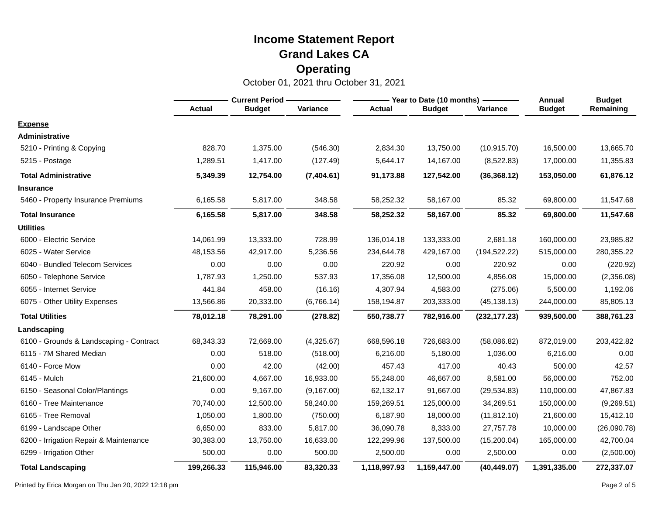October 01, 2021 thru October 31, 2021

|                                         | <b>Current Period</b> |               |             |               | - Year to Date (10 months) | Annual        | <b>Budget</b> |             |
|-----------------------------------------|-----------------------|---------------|-------------|---------------|----------------------------|---------------|---------------|-------------|
|                                         | <b>Actual</b>         | <b>Budget</b> | Variance    | <b>Actual</b> | <b>Budget</b>              | Variance      | <b>Budget</b> | Remaining   |
| <b>Expense</b>                          |                       |               |             |               |                            |               |               |             |
| <b>Administrative</b>                   |                       |               |             |               |                            |               |               |             |
| 5210 - Printing & Copying               | 828.70                | 1,375.00      | (546.30)    | 2,834.30      | 13,750.00                  | (10, 915.70)  | 16,500.00     | 13,665.70   |
| 5215 - Postage                          | 1,289.51              | 1,417.00      | (127.49)    | 5,644.17      | 14,167.00                  | (8,522.83)    | 17,000.00     | 11,355.83   |
| <b>Total Administrative</b>             | 5,349.39              | 12,754.00     | (7,404.61)  | 91,173.88     | 127,542.00                 | (36, 368.12)  | 153,050.00    | 61,876.12   |
| <b>Insurance</b>                        |                       |               |             |               |                            |               |               |             |
| 5460 - Property Insurance Premiums      | 6,165.58              | 5,817.00      | 348.58      | 58,252.32     | 58,167.00                  | 85.32         | 69,800.00     | 11,547.68   |
| <b>Total Insurance</b>                  | 6,165.58              | 5,817.00      | 348.58      | 58,252.32     | 58,167.00                  | 85.32         | 69,800.00     | 11,547.68   |
| <b>Utilities</b>                        |                       |               |             |               |                            |               |               |             |
| 6000 - Electric Service                 | 14,061.99             | 13,333.00     | 728.99      | 136,014.18    | 133,333.00                 | 2,681.18      | 160,000.00    | 23,985.82   |
| 6025 - Water Service                    | 48,153.56             | 42.917.00     | 5,236.56    | 234,644.78    | 429,167.00                 | (194, 522.22) | 515,000.00    | 280,355.22  |
| 6040 - Bundled Telecom Services         | 0.00                  | 0.00          | 0.00        | 220.92        | 0.00                       | 220.92        | 0.00          | (220.92)    |
| 6050 - Telephone Service                | 1,787.93              | 1,250.00      | 537.93      | 17,356.08     | 12,500.00                  | 4,856.08      | 15,000.00     | (2,356.08)  |
| 6055 - Internet Service                 | 441.84                | 458.00        | (16.16)     | 4,307.94      | 4,583.00                   | (275.06)      | 5,500.00      | 1,192.06    |
| 6075 - Other Utility Expenses           | 13,566.86             | 20,333.00     | (6,766.14)  | 158,194.87    | 203,333.00                 | (45, 138.13)  | 244,000.00    | 85,805.13   |
| <b>Total Utilities</b>                  | 78,012.18             | 78,291.00     | (278.82)    | 550,738.77    | 782,916.00                 | (232, 177.23) | 939,500.00    | 388,761.23  |
| Landscaping                             |                       |               |             |               |                            |               |               |             |
| 6100 - Grounds & Landscaping - Contract | 68,343.33             | 72,669.00     | (4,325.67)  | 668,596.18    | 726,683.00                 | (58,086.82)   | 872,019.00    | 203,422.82  |
| 6115 - 7M Shared Median                 | 0.00                  | 518.00        | (518.00)    | 6,216.00      | 5,180.00                   | 1,036.00      | 6,216.00      | 0.00        |
| 6140 - Force Mow                        | 0.00                  | 42.00         | (42.00)     | 457.43        | 417.00                     | 40.43         | 500.00        | 42.57       |
| 6145 - Mulch                            | 21,600.00             | 4,667.00      | 16,933.00   | 55,248.00     | 46,667.00                  | 8,581.00      | 56,000.00     | 752.00      |
| 6150 - Seasonal Color/Plantings         | 0.00                  | 9,167.00      | (9, 167.00) | 62,132.17     | 91,667.00                  | (29, 534.83)  | 110,000.00    | 47,867.83   |
| 6160 - Tree Maintenance                 | 70,740.00             | 12,500.00     | 58,240.00   | 159,269.51    | 125,000.00                 | 34,269.51     | 150,000.00    | (9,269.51)  |
| 6165 - Tree Removal                     | 1,050.00              | 1,800.00      | (750.00)    | 6,187.90      | 18,000.00                  | (11, 812.10)  | 21,600.00     | 15,412.10   |
| 6199 - Landscape Other                  | 6,650.00              | 833.00        | 5,817.00    | 36,090.78     | 8,333.00                   | 27,757.78     | 10,000.00     | (26,090.78) |
| 6200 - Irrigation Repair & Maintenance  | 30,383.00             | 13,750.00     | 16,633.00   | 122,299.96    | 137,500.00                 | (15,200.04)   | 165,000.00    | 42,700.04   |
| 6299 - Irrigation Other                 | 500.00                | 0.00          | 500.00      | 2,500.00      | 0.00                       | 2,500.00      | 0.00          | (2,500.00)  |
| <b>Total Landscaping</b>                | 199,266.33            | 115,946.00    | 83,320.33   | 1,118,997.93  | 1,159,447.00               | (40, 449.07)  | 1,391,335.00  | 272,337.07  |

Printed by Erica Morgan on Thu Jan 20, 2022 12:18 pm Page 2 of 5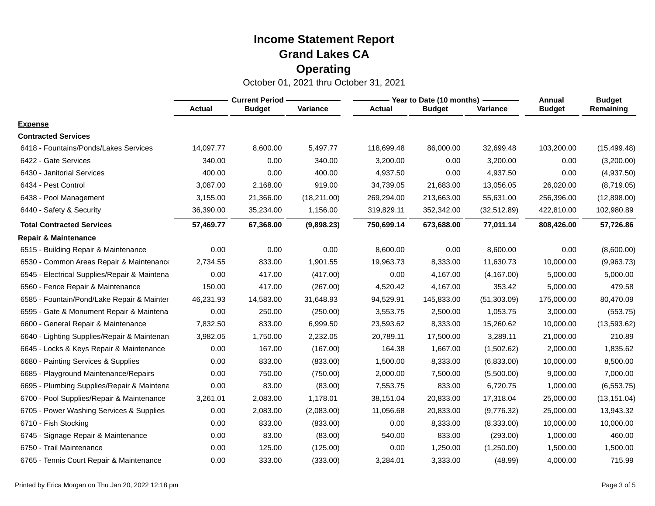|                                              | <b>Current Period -</b> |               |              |               | - Year to Date (10 months) - | Annual       | <b>Budget</b> |              |
|----------------------------------------------|-------------------------|---------------|--------------|---------------|------------------------------|--------------|---------------|--------------|
|                                              | <b>Actual</b>           | <b>Budget</b> | Variance     | <b>Actual</b> | <b>Budget</b>                | Variance     | <b>Budget</b> | Remaining    |
| <b>Expense</b>                               |                         |               |              |               |                              |              |               |              |
| <b>Contracted Services</b>                   |                         |               |              |               |                              |              |               |              |
| 6418 - Fountains/Ponds/Lakes Services        | 14,097.77               | 8,600.00      | 5,497.77     | 118,699.48    | 86,000.00                    | 32,699.48    | 103,200.00    | (15, 499.48) |
| 6422 - Gate Services                         | 340.00                  | 0.00          | 340.00       | 3,200.00      | 0.00                         | 3,200.00     | 0.00          | (3,200.00)   |
| 6430 - Janitorial Services                   | 400.00                  | 0.00          | 400.00       | 4,937.50      | 0.00                         | 4,937.50     | 0.00          | (4,937.50)   |
| 6434 - Pest Control                          | 3,087.00                | 2,168.00      | 919.00       | 34,739.05     | 21,683.00                    | 13,056.05    | 26,020.00     | (8,719.05)   |
| 6438 - Pool Management                       | 3,155.00                | 21,366.00     | (18, 211.00) | 269,294.00    | 213,663.00                   | 55,631.00    | 256,396.00    | (12,898.00)  |
| 6440 - Safety & Security                     | 36,390.00               | 35,234.00     | 1,156.00     | 319,829.11    | 352,342.00                   | (32, 512.89) | 422,810.00    | 102,980.89   |
| <b>Total Contracted Services</b>             | 57,469.77               | 67,368.00     | (9,898.23)   | 750,699.14    | 673,688.00                   | 77,011.14    | 808,426.00    | 57,726.86    |
| <b>Repair &amp; Maintenance</b>              |                         |               |              |               |                              |              |               |              |
| 6515 - Building Repair & Maintenance         | 0.00                    | 0.00          | 0.00         | 8,600.00      | 0.00                         | 8,600.00     | 0.00          | (8,600.00)   |
| 6530 - Common Areas Repair & Maintenance     | 2,734.55                | 833.00        | 1,901.55     | 19,963.73     | 8,333.00                     | 11,630.73    | 10,000.00     | (9,963.73)   |
| 6545 - Electrical Supplies/Repair & Maintena | 0.00                    | 417.00        | (417.00)     | 0.00          | 4,167.00                     | (4, 167.00)  | 5,000.00      | 5,000.00     |
| 6560 - Fence Repair & Maintenance            | 150.00                  | 417.00        | (267.00)     | 4,520.42      | 4,167.00                     | 353.42       | 5,000.00      | 479.58       |
| 6585 - Fountain/Pond/Lake Repair & Mainter   | 46,231.93               | 14,583.00     | 31,648.93    | 94,529.91     | 145,833.00                   | (51, 303.09) | 175,000.00    | 80,470.09    |
| 6595 - Gate & Monument Repair & Maintena     | 0.00                    | 250.00        | (250.00)     | 3,553.75      | 2,500.00                     | 1,053.75     | 3,000.00      | (553.75)     |
| 6600 - General Repair & Maintenance          | 7,832.50                | 833.00        | 6,999.50     | 23,593.62     | 8,333.00                     | 15,260.62    | 10,000.00     | (13, 593.62) |
| 6640 - Lighting Supplies/Repair & Maintenan  | 3,982.05                | 1,750.00      | 2,232.05     | 20,789.11     | 17,500.00                    | 3,289.11     | 21,000.00     | 210.89       |
| 6645 - Locks & Keys Repair & Maintenance     | 0.00                    | 167.00        | (167.00)     | 164.38        | 1,667.00                     | (1,502.62)   | 2,000.00      | 1,835.62     |
| 6680 - Painting Services & Supplies          | 0.00                    | 833.00        | (833.00)     | 1,500.00      | 8,333.00                     | (6,833.00)   | 10,000.00     | 8,500.00     |
| 6685 - Playground Maintenance/Repairs        | 0.00                    | 750.00        | (750.00)     | 2,000.00      | 7,500.00                     | (5,500.00)   | 9,000.00      | 7,000.00     |
| 6695 - Plumbing Supplies/Repair & Maintena   | 0.00                    | 83.00         | (83.00)      | 7,553.75      | 833.00                       | 6,720.75     | 1,000.00      | (6, 553.75)  |
| 6700 - Pool Supplies/Repair & Maintenance    | 3,261.01                | 2,083.00      | 1,178.01     | 38,151.04     | 20,833.00                    | 17,318.04    | 25,000.00     | (13, 151.04) |
| 6705 - Power Washing Services & Supplies     | 0.00                    | 2,083.00      | (2,083.00)   | 11,056.68     | 20,833.00                    | (9,776.32)   | 25,000.00     | 13,943.32    |
| 6710 - Fish Stocking                         | 0.00                    | 833.00        | (833.00)     | 0.00          | 8,333.00                     | (8,333.00)   | 10,000.00     | 10,000.00    |
| 6745 - Signage Repair & Maintenance          | 0.00                    | 83.00         | (83.00)      | 540.00        | 833.00                       | (293.00)     | 1,000.00      | 460.00       |
| 6750 - Trail Maintenance                     | 0.00                    | 125.00        | (125.00)     | 0.00          | 1,250.00                     | (1,250.00)   | 1,500.00      | 1,500.00     |
| 6765 - Tennis Court Repair & Maintenance     | 0.00                    | 333.00        | (333.00)     | 3,284.01      | 3,333.00                     | (48.99)      | 4,000.00      | 715.99       |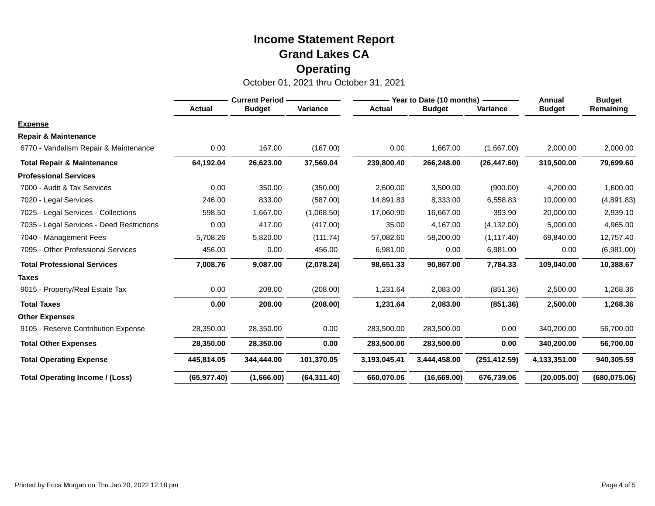|                                           | <b>Current Period -</b> |               |              | Year to Date (10 months) - |               |               | Annual        | <b>Budget</b> |
|-------------------------------------------|-------------------------|---------------|--------------|----------------------------|---------------|---------------|---------------|---------------|
|                                           | <b>Actual</b>           | <b>Budget</b> | Variance     | <b>Actual</b>              | <b>Budget</b> | Variance      | <b>Budget</b> | Remaining     |
| <b>Expense</b>                            |                         |               |              |                            |               |               |               |               |
| <b>Repair &amp; Maintenance</b>           |                         |               |              |                            |               |               |               |               |
| 6770 - Vandalism Repair & Maintenance     | 0.00                    | 167.00        | (167.00)     | 0.00                       | 1,667.00      | (1,667.00)    | 2,000.00      | 2,000.00      |
| <b>Total Repair &amp; Maintenance</b>     | 64,192.04               | 26,623.00     | 37,569.04    | 239,800.40                 | 266,248.00    | (26, 447.60)  | 319,500.00    | 79,699.60     |
| <b>Professional Services</b>              |                         |               |              |                            |               |               |               |               |
| 7000 - Audit & Tax Services               | 0.00                    | 350.00        | (350.00)     | 2,600.00                   | 3,500.00      | (900.00)      | 4,200.00      | 1,600.00      |
| 7020 - Legal Services                     | 246.00                  | 833.00        | (587.00)     | 14,891.83                  | 8,333.00      | 6,558.83      | 10,000.00     | (4,891.83)    |
| 7025 - Legal Services - Collections       | 598.50                  | 1,667.00      | (1,068.50)   | 17,060.90                  | 16,667.00     | 393.90        | 20,000.00     | 2,939.10      |
| 7035 - Legal Services - Deed Restrictions | 0.00                    | 417.00        | (417.00)     | 35.00                      | 4,167.00      | (4, 132.00)   | 5,000.00      | 4,965.00      |
| 7040 - Management Fees                    | 5,708.26                | 5,820.00      | (111.74)     | 57,082.60                  | 58,200.00     | (1, 117.40)   | 69,840.00     | 12,757.40     |
| 7095 - Other Professional Services        | 456.00                  | 0.00          | 456.00       | 6,981.00                   | 0.00          | 6,981.00      | 0.00          | (6,981.00)    |
| <b>Total Professional Services</b>        | 7,008.76                | 9,087.00      | (2,078.24)   | 98,651.33                  | 90,867.00     | 7,784.33      | 109,040.00    | 10,388.67     |
| <b>Taxes</b>                              |                         |               |              |                            |               |               |               |               |
| 9015 - Property/Real Estate Tax           | 0.00                    | 208.00        | (208.00)     | 1,231.64                   | 2,083.00      | (851.36)      | 2,500.00      | 1,268.36      |
| <b>Total Taxes</b>                        | 0.00                    | 208.00        | (208.00)     | 1,231.64                   | 2,083.00      | (851.36)      | 2,500.00      | 1,268.36      |
| <b>Other Expenses</b>                     |                         |               |              |                            |               |               |               |               |
| 9105 - Reserve Contribution Expense       | 28,350.00               | 28,350.00     | 0.00         | 283,500.00                 | 283,500.00    | 0.00          | 340,200.00    | 56,700.00     |
| <b>Total Other Expenses</b>               | 28,350.00               | 28,350.00     | 0.00         | 283,500.00                 | 283,500.00    | 0.00          | 340,200.00    | 56,700.00     |
| <b>Total Operating Expense</b>            | 445,814.05              | 344,444.00    | 101,370.05   | 3,193,045.41               | 3,444,458.00  | (251, 412.59) | 4,133,351.00  | 940,305.59    |
| <b>Total Operating Income / (Loss)</b>    | (65, 977.40)            | (1,666.00)    | (64, 311.40) | 660,070.06                 | (16, 669.00)  | 676,739.06    | (20,005.00)   | (680, 075.06) |